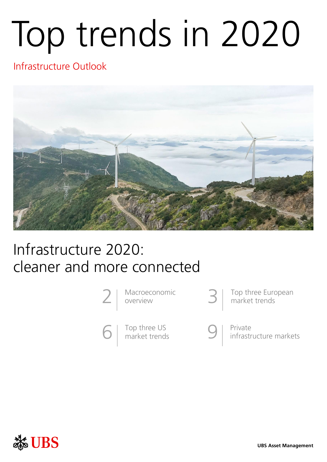# Top trends in 2020

# Infrastructure Outlook



# Infrastructure 2020: cleaner and more connected



Macroeconomic overview

Top three US<br>market trends

Top three European<br>market trends

Private<br>infrastructure markets

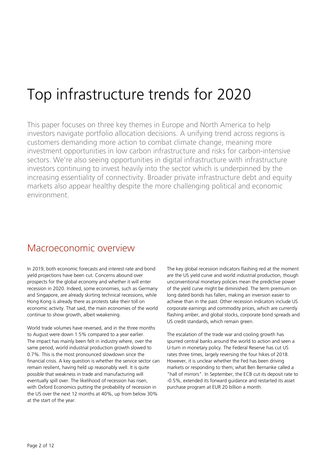# Top infrastructure trends for 2020

This paper focuses on three key themes in Europe and North America to help investors navigate portfolio allocation decisions. A unifying trend across regions is customers demanding more action to combat climate change, meaning more investment opportunities in low carbon infrastructure and risks for carbon-intensive sectors. We're also seeing opportunities in digital infrastructure with infrastructure investors continuing to invest heavily into the sector which is underpinned by the increasing essentiality of connectivity. Broader private infrastructure debt and equity markets also appear healthy despite the more challenging political and economic environment.

### Macroeconomic overview

In 2019, both economic forecasts and interest rate and bond yield projections have been cut. Concerns abound over prospects for the global economy and whether it will enter recession in 2020. Indeed, some economies, such as Germany and Singapore, are already skirting technical recessions, while Hong Kong is already there as protests take their toll on economic activity. That said, the main economies of the world continue to show growth, albeit weakening.

World trade volumes have reversed, and in the three months to August were down 1.5% compared to a year earlier. The impact has mainly been felt in industry where, over the same period, world industrial production growth slowed to 0.7%. This is the most pronounced slowdown since the financial crisis. A key question is whether the service sector can remain resilient, having held up reasonably well. It is quite possible that weakness in trade and manufacturing will eventually spill over. The likelihood of recession has risen, with Oxford Economics putting the probability of recession in the US over the next 12 months at 40%, up from below 30% at the start of the year.

The key global recession indicators flashing red at the moment are the US yield curve and world industrial production, though unconventional monetary policies mean the predictive power of the yield curve might be diminished. The term premium on long dated bonds has fallen, making an inversion easier to achieve than in the past. Other recession indicators include US corporate earnings and commodity prices, which are currently flashing amber, and global stocks, corporate bond spreads and US credit standards, which remain green.

The escalation of the trade war and cooling growth has spurred central banks around the world to action and seen a U-turn in monetary policy. The Federal Reserve has cut US rates three times, largely reversing the four hikes of 2018. However, it is unclear whether the Fed has been driving markets or responding to them; what Ben Bernanke called a "hall of mirrors". In September, the ECB cut its deposit rate to -0.5%, extended its forward guidance and restarted its asset purchase program at EUR 20 billion a month.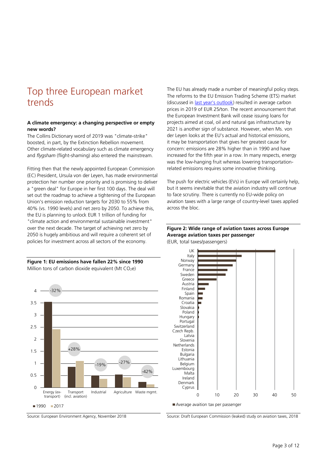## Top three European market trends

#### **A climate emergency: a changing perspective or empty new words?**

The Collins Dictionary word of 2019 was "climate-strike" boosted, in part, by the Extinction Rebellion movement. Other climate-related vocabulary such as climate emergency and *flygsham* (flight-shaming) also entered the mainstream.

Fitting then that the newly appointed European Commission (EC) President, Ursula von der Leyen, has made environmental protection her number one priority and is promising to deliver a "green deal" for Europe in her first 100 days. The deal will set out the roadmap to achieve a tightening of the European Union's emission reduction targets for 2030 to 55% from 40% (vs. 1990 levels) and net zero by 2050. To achieve this, the EU is planning to unlock EUR 1 trillion of funding for "climate action and environmental sustainable investment" over the next decade. The target of achieving net zero by 2050 is hugely ambitious and will require a coherent set of policies for investment across all sectors of the economy.

#### **Figure 1: EU emissions have fallen 22% since 1990** Million tons of carbon dioxide equivalent (Mt  $CO<sub>2</sub>e$ )



Source: European Environment Agency, November 2018

The EU has already made a number of meaningful policy steps. The reforms to the EU Emission Trading Scheme (ETS) market (discussed in <u>last year's outlook</u>) resulted in average carbon prices in 2019 of EUR 25/ton. The recent announcement that the European Investment Bank will cease issuing loans for projects aimed at coal, oil and natural gas infrastructure by 2021 is another sign of substance. However, when Ms. von der Leyen looks at the EU's actual and historical emissions, it may be transportation that gives her greatest cause for concern: emissions are 28% higher than in 1990 and have increased for the fifth year in a row. In many respects, energy was the low-hanging fruit whereas lowering transportationrelated emissions requires some innovative thinking.

The push for electric vehicles (EVs) in Europe will certainly help, but it seems inevitable that the aviation industry will continue to face scrutiny. There is currently no EU-wide policy on aviation taxes with a large range of country-level taxes applied across the bloc.

#### **Figure 2: Wide range of aviation taxes across Europe Average aviation taxes per passenger**

(EUR, total taxes/passengers)



Source: Draft European Commission (leaked) study on aviation taxes, 2018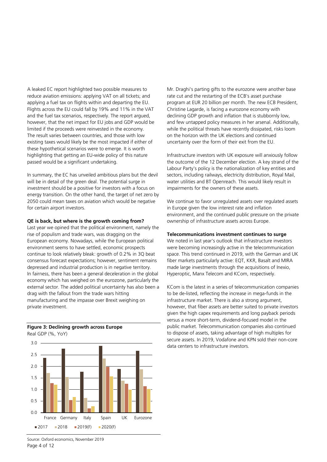A leaked EC report highlighted two possible measures to reduce aviation emissions: applying VAT on all tickets; and applying a fuel tax on flights within and departing the EU. Flights across the EU could fall by 19% and 11% in the VAT and the fuel tax scenarios, respectively. The report argued, however, that the net impact for EU jobs and GDP would be limited if the proceeds were reinvested in the economy. The result varies between countries, and those with low existing taxes would likely be the most impacted if either of these hypothetical scenarios were to emerge. It is worth highlighting that getting an EU-wide policy of this nature passed would be a significant undertaking.

In summary, the EC has unveiled ambitious plans but the devil will be in detail of the green deal. The potential surge in investment should be a positive for investors with a focus on energy transition. On the other hand, the target of net zero by 2050 could mean taxes on aviation which would be negative for certain airport investors.

#### **QE is back, but where is the growth coming from?**

Last year we opined that the political environment, namely the rise of populism and trade wars, was dragging on the European economy. Nowadays, while the European political environment seems to have settled, economic prospects continue to look relatively bleak: growth of 0.2% in 3Q beat consensus forecast expectations; however, sentiment remains depressed and industrial production is in negative territory. In fairness, there has been a general deceleration in the global economy which has weighed on the eurozone, particularly the external sector. The added political uncertainty has also been a drag with the fallout from the trade wars hitting manufacturing and the impasse over Brexit weighing on private investment.



#### **Figure 3: Declining growth across Europe** Real GDP (%, YoY)

Mr. Draghi's parting gifts to the eurozone were another base rate cut and the restarting of the ECB's asset purchase program at EUR 20 billion per month. The new ECB President, Christine Lagarde, is facing a eurozone economy with declining GDP growth and inflation that is stubbornly low, and few untapped policy measures in her arsenal. Additionally, while the political threats have recently dissipated, risks loom on the horizon with the UK elections and continued uncertainty over the form of their exit from the EU.

Infrastructure investors with UK exposure will anxiously follow the outcome of the 12 December election. A key strand of the Labour Party's policy is the nationalization of key entities and sectors, including railways, electricity distribution, Royal Mail, water utilities and BT Openreach. This would likely result in impairments for the owners of these assets.

We continue to favor unregulated assets over regulated assets in Europe given the low interest rate and inflation environment, and the continued public pressure on the private ownership of infrastructure assets across Europe.

#### **Telecommunications investment continues to surge**

We noted in last year's outlook that infrastructure investors were becoming increasingly active in the telecommunication space. This trend continued in 2019, with the German and UK fiber markets particularly active: EQT, KKR, Basalt and MIRA made large investments through the acquisitions of Inexio, Hyperoptic, Manx Telecom and KCom, respectively.

KCom is the latest in a series of telecommunication companies to be de-listed, reflecting the increase in mega-funds in the infrastructure market. There is also a strong argument, however, that fiber assets are better suited to private investors given the high capex requirements and long payback periods versus a more short-term, dividend-focused model in the public market. Telecommunication companies also continued to dispose of assets, taking advantage of high multiples for secure assets. In 2019, Vodafone and KPN sold their non-core data centers to infrastructure investors.

Page 4 of 12 Source: Oxford economics, November 2019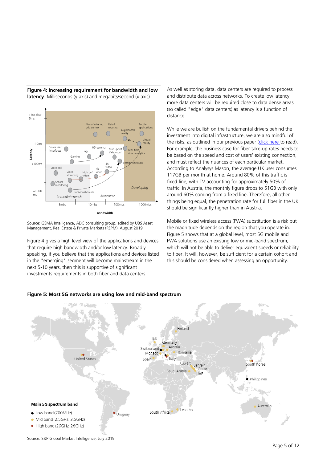

**Figure 4: Increasing requirement for bandwidth and low latency**. Milliseconds (y-axis) and megabits/second (x-axis)

Source: GSMA Intelligence, ADC consulting group, edited by UBS Asset Management, Real Estate & Private Markets (REPM), August 2019

Figure 4 gives a high level view of the applications and devices that require high bandwidth and/or low latency. Broadly speaking, if you believe that the applications and devices listed in the "emerging" segment will become mainstream in the next 5-10 years, then this is supportive of significant investments requirements in both fiber and data centers.

As well as storing data, data centers are required to process and distribute data across networks. To create low latency, more data centers will be required close to data dense areas (so called "edge" data centers) as latency is a function of distance.

While we are bullish on the fundamental drivers behind the investment into digital infrastructure, we are also mindful of the risks, as outlined in our previous paper [\(click here](https://www.ubs.com/global/en/asset-management/insights/asset-class-research/real-assets/2019/new-opportunities.html) to read). For example, the business case for fiber take-up rates needs to be based on the speed and cost of users' existing connection, and must reflect the nuances of each particular market. According to Analysys Mason, the average UK user consumes 117GB per month at home. Around 80% of this traffic is fixed-line, with TV accounting for approximately 50% of traffic. In Austria, the monthly figure drops to 51GB with only around 60% coming from a fixed line. Therefore, all other things being equal, the penetration rate for full fiber in the UK should be significantly higher than in Austria.

Mobile or fixed wireless access (FWA) substitution is a risk but the magnitude depends on the region that you operate in. Figure 5 shows that at a global level, most 5G mobile and FWA solutions use an existing low or mid-band spectrum, which will not be able to deliver equivalent speeds or reliability to fiber. It will, however, be sufficient for a certain cohort and this should be considered when assessing an opportunity.



#### **Figure 5: Most 5G networks are using low and mid-band spectrum**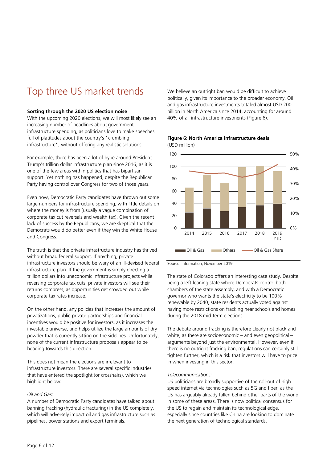# Top three US market trends

#### **Sorting through the 2020 US election noise**

With the upcoming 2020 elections, we will most likely see an increasing number of headlines about government infrastructure spending, as politicians love to make speeches full of platitudes about the country's "crumbling infrastructure", without offering any realistic solutions.

For example, there has been a lot of hype around President Trump's trillion dollar infrastructure plan since 2016, as it is one of the few areas within politics that has bipartisan support. Yet nothing has happened, despite the Republican Party having control over Congress for two of those years.

Even now, Democratic Party candidates have thrown out some large numbers for infrastructure spending, with little details on where the money is from (usually a vague combination of corporate tax cut reversals and wealth tax). Given the recent lack of success by the Republicans, we are skeptical that the Democrats would do better even if they win the White House and Congress.

The truth is that the private infrastructure industry has thrived without broad federal support. If anything, private infrastructure investors should be wary of an ill-devised federal infrastructure plan. If the government is simply directing a trillion dollars into uneconomic infrastructure projects while reversing corporate tax cuts, private investors will see their returns compress, as opportunities get crowded out while corporate tax rates increase.

On the other hand, any policies that increases the amount of privatizations, public-private partnerships and financial incentives would be positive for investors, as it increases the investable universe, and helps utilize the large amounts of dry powder that is currently sitting on the sidelines. Unfortunately, none of the current infrastructure proposals appear to be heading towards this direction.

This does not mean the elections are irrelevant to infrastructure investors. There are several specific industries that have entered the spotlight (or crosshairs), which we highlight below:

#### *Oil and Gas:*

A number of Democratic Party candidates have talked about banning fracking (hydraulic fracturing) in the US completely, which will adversely impact oil and gas infrastructure such as pipelines, power stations and export terminals.

We believe an outright ban would be difficult to achieve politically, given its importance to the broader economy. Oil and gas infrastructure investments totaled almost USD 200 billion in North America since 2014, accounting for around 40% of all infrastructure investments (Figure 6).



#### **Figure 6: North America infrastructure deals**  (USD million)

Source: Inframation, November 2019

The state of Colorado offers an interesting case study. Despite being a left-leaning state where Democrats control both chambers of the state assembly, and with a Democratic governor who wants the state's electricity to be 100% renewable by 2040, state residents actually voted against having more restrictions on fracking near schools and homes during the 2018 mid-term elections.

The debate around fracking is therefore clearly not black and white, as there are socioeconomic – and even geopolitical – arguments beyond just the environmental. However, even if there is no outright fracking ban, regulations can certainly still tighten further, which is a risk that investors will have to price in when investing in this sector.

#### *Telecommunications:*

US politicians are broadly supportive of the roll-out of high speed internet via technologies such as 5G and fiber, as the US has arguably already fallen behind other parts of the world in some of these areas. There is now political consensus for the US to regain and maintain its technological edge, especially since countries like China are looking to dominate the next generation of technological standards.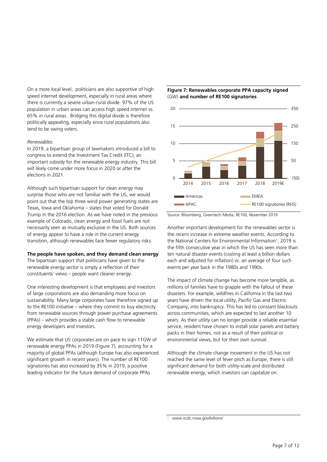On a more local level, politicians are also supportive of high speed internet development, especially in rural areas where there is currently a severe urban-rural divide. 97% of the US population in urban areas can access high speed internet vs. 65% in rural areas . Bridging this digital divide is therefore politically appealing, especially since rural populations also tend to be swing voters.

#### *Renewables:*

In 2019, a bipartisan group of lawmakers introduced a bill to congress to extend the Investment Tax Credit (ITC), an important subsidy for the renewable energy industry. This bill will likely come under more focus in 2020 or after the elections in 2021.

Although such bipartisan support for clean energy may surprise those who are not familiar with the US, we would point out that the top three wind power generating states are Texas, Iowa and Oklahoma – states that voted for Donald Trump in the 2016 election. As we have noted in the previous example of Colorado, clean energy and fossil fuels are not necessarily seen as mutually exclusive in the US. Both sources of energy appear to have a role in the current energy transition, although renewables face fewer regulatory risks.

#### **The people have spoken, and they demand clean energy**

The bipartisan support that politicians have given to the renewable energy sector is simply a reflection of their constituents' views – people want cleaner energy.

One interesting development is that employees and investors of large corporations are also demanding more focus on sustainability. Many large corporates have therefore signed up to the RE100 initiative – where they commit to buy electricity from renewable sources through power purchase agreements (PPAs) – which provides a stable cash flow to renewable energy developers and investors.

We estimate that US corporates are on pace to sign 11GW of renewable energy PPAs in 2019 (Figure 7), accounting for a majority of global PPAs (although Europe has also experienced significant growth in recent years). The number of RE100 signatories has also increased by 35% in 2019, a positive leading indicator for the future demand of corporate PPAs.

#### **Figure 7: Renewables corporate PPA capacity signed**  (GW) **and number of RE100 signatories**



Source: Bloomberg, Greentech Media, RE100, November 2019

Another important development for the renewables sector is the recent increase in extreme weather events. According to the National Centers for Environmental Information<sup>1</sup>, 2019 is the fifth consecutive year in which the US has seen more than ten natural disaster events (costing at least a billion dollars each and adjusted for inflation) vs. an average of four such events per year back in the 1980s and 1990s.

The impact of climate change has become more tangible, as millions of families have to grapple with the fallout of these disasters. For example, wildfires in California in the last two years have driven the local utility, Pacific Gas and Electric Company, into bankruptcy. This has led to constant blackouts across communities, which are expected to last another 10 years. As their utility can no longer provide a reliable essential service, resident have chosen to install solar panels and battery packs in their homes, not as a result of their political or environmental views, but for their own survival.

Although the climate change movement in the US has not reached the same level of fever pitch as Europe, there is still significant demand for both utility-scale and distributed renewable energy, which investors can capitalize on.

1

www.ncdc.noaa.gov/billions/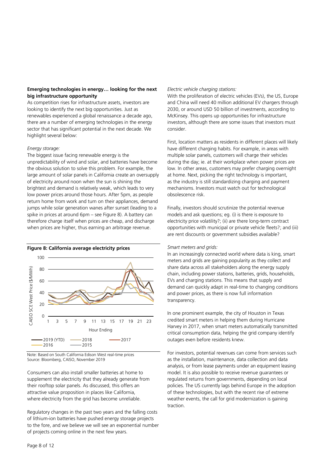#### **Emerging technologies in energy… looking for the next big infrastructure opportunity**

As competition rises for infrastructure assets, investors are looking to identify the next big opportunities. Just as renewables experienced a global renaissance a decade ago, there are a number of emerging technologies in the energy sector that has significant potential in the next decade. We highlight several below:

#### *Energy storage:*

The biggest issue facing renewable energy is the unpredictability of wind and solar, and batteries have become the obvious solution to solve this problem. For example, the large amount of solar panels in California create an oversupply of electricity around noon when the sun is shining the brightest and demand is relatively weak, which leads to very low power prices around those hours. After 5pm, as people return home from work and turn on their appliances, demand jumps while solar generation wanes after sunset (leading to a spike in prices at around 6pm – see Figure 8). A battery can therefore charge itself when prices are cheap, and discharge when prices are higher, thus earning an arbitrage revenue.



Note: Based on South California Edison West real-time prices Source: Bloomberg, CAISO, November 2019

Consumers can also install smaller batteries at home to supplement the electricity that they already generate from their rooftop solar panels. As discussed, this offers an attractive value proposition in places like California, where electricity from the grid has become unreliable.

Regulatory changes in the past two years and the falling costs of lithium-ion batteries have pushed energy storage projects to the fore, and we believe we will see an exponential number of projects coming online in the next few years.

#### *Electric vehicle charging stations:*

With the proliferation of electric vehicles (EVs), the US, Europe and China will need 40 million additional EV chargers through 2030, or around USD 50 billion of investments, according to McKinsey. This opens up opportunities for infrastructure investors, although there are some issues that investors must consider.

First, location matters as residents in different places will likely have different charging habits. For example, in areas with multiple solar panels, customers will charge their vehicles during the day; ie. at their workplace when power prices are low. In other areas, customers may prefer charging overnight at home. Next, picking the right technology is important, as the industry is still standardizing charging and payment mechanisms. Investors must watch out for technological obsolescence risk.

Finally, investors should scrutinize the potential revenue models and ask questions; eg. (i) is there is exposure to electricity price volatility?; (ii) are there long-term contract opportunities with municipal or private vehicle fleets?; and (iii) are rent discounts or government subsidies available?

#### *Smart meters and grids:*

In an increasingly connected world where data is king, smart meters and grids are gaining popularity as they collect and share data across all stakeholders along the energy supply chain, including power stations, batteries, grids, households, EVs and charging stations. This means that supply and demand can quickly adapt in real-time to changing conditions and power prices, as there is now full information transparency.

In one prominent example, the city of Houston in Texas credited smart meters in helping them during Hurricane Harvey in 2017, when smart meters automatically transmitted critical consumption data, helping the grid company identify outages even before residents knew.

For investors, potential revenues can come from services such as the installation, maintenance, data collection and data analysis, or from lease payments under an equipment leasing model. It is also possible to receive revenue guarantees or regulated returns from governments, depending on local policies. The US currently lags behind Europe in the adoption of these technologies, but with the recent rise of extreme weather events, the call for grid modernization is gaining traction.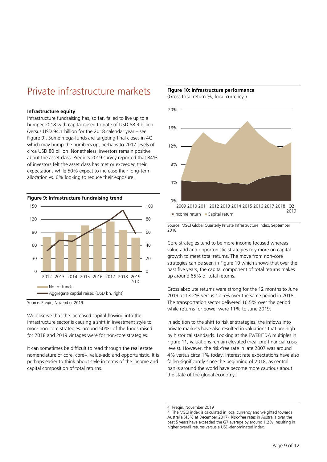## Private infrastructure markets

#### **Infrastructure equity**

Infrastructure fundraising has, so far, failed to live up to a bumper 2018 with capital raised to date of USD 58.3 billion (versus USD 94.1 billion for the 2018 calendar year – see Figure 9). Some mega-funds are targeting final closes in 4Q which may bump the numbers up, perhaps to 2017 levels of circa USD 80 billion. Nonetheless, investors remain positive about the asset class. Preqin's 2019 survey reported that 84% of investors felt the asset class has met or exceeded their expectations while 50% expect to increase their long-term allocation vs. 6% looking to reduce their exposure.



Source: Preqin, November 2019

We observe that the increased capital flowing into the infrastructure sector is causing a shift in investment style to more non-core strategies: around 50%<sup>2</sup> of the funds raised for 2018 and 2019 vintages were for non-core strategies.

It can sometimes be difficult to read through the real estate nomenclature of core, core+, value-add and opportunistic. It is perhaps easier to think about style in terms of the income and capital composition of total returns.



(Gross total return %, local currency<sup>3</sup> )



Source: MSCI Global Quarterly Private Infrastructure Index, September 2018

Core strategies tend to be more income focused whereas value-add and opportunistic strategies rely more on capital growth to meet total returns. The move from non-core strategies can be seen in Figure 10 which shows that over the past five years, the capital component of total returns makes up around 65% of total returns.

Gross absolute returns were strong for the 12 months to June 2019 at 13.2% versus 12.5% over the same period in 2018. The transportation sector delivered 16.5% over the period while returns for power were 11% to June 2019.

In addition to the shift to riskier strategies, the inflows into private markets have also resulted in valuations that are high by historical standards. Looking at the EV/EBITDA multiples in Figure 11, valuations remain elevated (near pre-financial crisis levels). However, the risk-free rate in late 2007 was around 4% versus circa 1% today. Interest rate expectations have also fallen significantly since the beginning of 2018, as central banks around the world have become more cautious about the state of the global economy.

<sup>2</sup> Preqin, November 2019

<sup>3</sup> The MSCI index is calculated in local currency and weighted towards Australia (45% at December 2017). Risk-free rates in Australia over the past 5 years have exceeded the G7 average by around 1.2%, resulting in higher overall returns versus a USD-denominated index.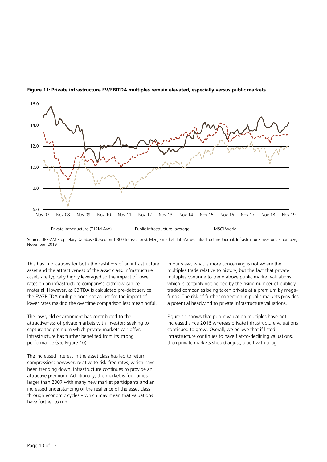

#### **Figure 11: Private infrastructure EV/EBITDA multiples remain elevated, especially versus public markets**

Source: UBS-AM Proprietary Database (based on 1,300 transactions), Mergermarket, InfraNews, Infrastructure Journal, Infrastructure investors, Bloomberg; November 2019

This has implications for both the cashflow of an infrastructure asset and the attractiveness of the asset class. Infrastructure assets are typically highly leveraged so the impact of lower rates on an infrastructure company's cashflow can be material. However, as EBITDA is calculated pre-debt service, the EV/EBITDA multiple does not adjust for the impact of lower rates making the overtime comparison less meaningful.

The low yield environment has contributed to the attractiveness of private markets with investors seeking to capture the premium which private markets can offer. Infrastructure has further benefited from its strong performance (see Figure 10).

The increased interest in the asset class has led to return compression; however, relative to risk-free rates, which have been trending down, infrastructure continues to provide an attractive premium. Additionally, the market is four times larger than 2007 with many new market participants and an increased understanding of the resilience of the asset class through economic cycles – which may mean that valuations have further to run.

In our view, what is more concerning is not where the multiples trade relative to history, but the fact that private multiples continue to trend above public market valuations, which is certainly not helped by the rising number of publiclytraded companies being taken private at a premium by megafunds. The risk of further correction in public markets provides a potential headwind to private infrastructure valuations.

Figure 11 shows that public valuation multiples have not increased since 2016 whereas private infrastructure valuations continued to grow. Overall, we believe that if listed infrastructure continues to have flat-to-declining valuations, then private markets should adjust, albeit with a lag.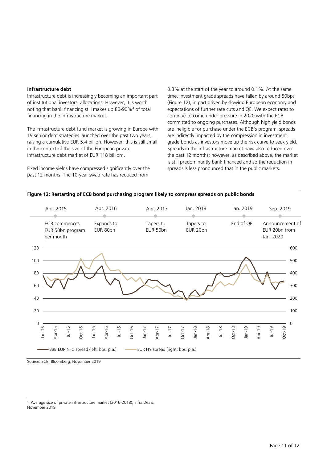#### **Infrastructure debt**

Infrastructure debt is increasingly becoming an important part of institutional investors' allocations. However, it is worth noting that bank financing still makes up 80-90%<sup>4</sup> of total financing in the infrastructure market.

The infrastructure debt fund market is growing in Europe with 19 senior debt strategies launched over the past two years, raising a cumulative EUR 5.4 billion. However, this is still small in the context of the size of the European private infrastructure debt market of EUR 118 billion 4 .

Fixed income yields have compressed significantly over the past 12 months. The 10-year swap rate has reduced from

0.8% at the start of the year to around 0.1%. At the same time, investment grade spreads have fallen by around 50bps (Figure 12), in part driven by slowing European economy and expectations of further rate cuts and QE. We expect rates to continue to come under pressure in 2020 with the ECB committed to ongoing purchases. Although high yield bonds are ineligible for purchase under the ECB's program, spreads are indirectly impacted by the compression in investment grade bonds as investors move up the risk curve to seek yield. Spreads in the infrastructure market have also reduced over the past 12 months; however, as described above, the market is still predominantly bank financed and so the reduction in spreads is less pronounced that in the public markets.

#### **Figure 12: Restarting of ECB bond purchasing program likely to compress spreads on public bonds**

|     | Apr. 2015                                                                |          |                      | Apr. 2016              |                            |  | Apr. 2017             |  |                            | Jan. 2018             |        |        |            | Jan. 2019 |          |        | Sep. 2019                                     |          |     |  |
|-----|--------------------------------------------------------------------------|----------|----------------------|------------------------|----------------------------|--|-----------------------|--|----------------------------|-----------------------|--------|--------|------------|-----------|----------|--------|-----------------------------------------------|----------|-----|--|
|     | <b>ECB</b> commences<br>EUR 50bn program<br>per month                    |          |                      | Expands to<br>EUR 80bn |                            |  | Tapers to<br>EUR 50bn |  |                            | Tapers to<br>EUR 20bn |        |        |            | End of QE |          |        | Announcement of<br>EUR 20bn from<br>Jan. 2020 |          |     |  |
| 120 |                                                                          |          |                      |                        |                            |  |                       |  |                            |                       |        |        |            |           |          |        |                                               |          | 600 |  |
| 100 |                                                                          |          |                      |                        |                            |  |                       |  |                            |                       |        |        |            |           |          |        |                                               |          | 500 |  |
| 80  |                                                                          |          |                      |                        |                            |  |                       |  |                            |                       |        |        |            |           |          |        |                                               |          | 400 |  |
| 60  |                                                                          |          |                      |                        |                            |  |                       |  |                            |                       |        |        |            | 300       |          |        |                                               |          |     |  |
| 40  |                                                                          |          |                      |                        |                            |  |                       |  |                            |                       |        |        |            |           |          |        |                                               |          | 200 |  |
| 20  |                                                                          |          |                      |                        |                            |  |                       |  |                            |                       |        |        |            |           |          |        |                                               |          | 100 |  |
| 0   |                                                                          |          |                      |                        |                            |  |                       |  |                            |                       |        |        |            |           |          |        |                                               |          | 0   |  |
|     | $Jan-15$<br>Apr-15                                                       | $Jul-15$ | $Jan-16$<br>$Oct-15$ |                        | Apr-16<br>Jul-16<br>Oct-16 |  | $Jan-17$              |  | Apr-17<br>Jul-17<br>Oct-17 |                       | Jan-18 | Apr-18 | $3^{1-18}$ | Oct-18    | $Jan-19$ | Apr-19 | PL-IN                                         | $Oct-19$ |     |  |
|     | BBB EUR NFC spread (left; bps, p.a.)<br>EUR HY spread (right; bps, p.a.) |          |                      |                        |                            |  |                       |  |                            |                       |        |        |            |           |          |        |                                               |          |     |  |

Source: ECB, Bloomberg, November 2019

4 Average size of private infrastructure market (2016-2018); Infra Deals, November 2019